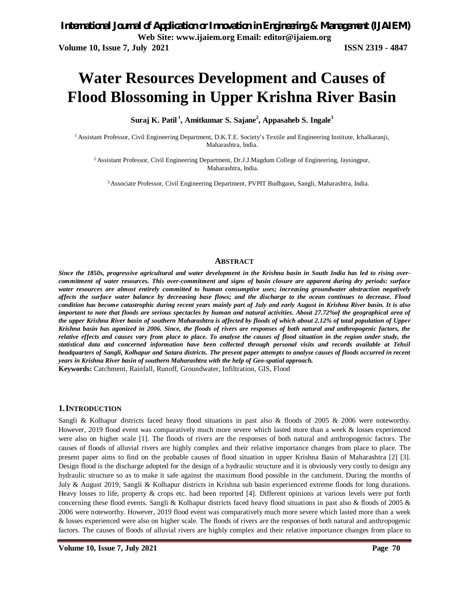# **Water Resources Development and Causes of Flood Blossoming in Upper Krishna River Basin**

**Suraj K. Patil <sup>1</sup> , Amitkumar S. Sajane<sup>2</sup> , Appasaheb S. Ingale<sup>3</sup>**

<sup>1</sup> Assistant Professor, Civil Engineering Department, D.K.T.E. Society's Textile and Engineering Institute, Ichalkaranji, Maharashtra, India.

<sup>2</sup>Assistant Professor, Civil Engineering Department, Dr.J.J.Magdum College of Engineering, Jaysingpur, Maharashtra, India.

3 Associate Professor, Civil Engineering Department, PVPIT Budhgaon, Sangli, Maharashtra, India.

#### **ABSTRACT**

*Since the 1850s, progressive agricultural and water development in the Krishna basin in South India has led to rising overcommitment of water resources. This over-commitment and signs of basin closure are apparent during dry periods: surface water resources are almost entirely committed to human consumptive uses; increasing groundwater abstraction negatively affects the surface water balance by decreasing base flows; and the discharge to the ocean continues to decrease. Flood condition has become catastrophic during recent years mainly part of July and early August in Krishna River basin. It is also important to note that floods are serious spectacles by human and natural activities. About 27.72%of the geographical area of the upper Krishna River basin of southern Maharashtra is affected by floods of which about 2.12% of total population of Upper Krishna basin has agonized in 2006. Since, the floods of rivers are responses of both natural and anthropogenic factors, the relative effects and causes vary from place to place. To analyse the causes of flood situation in the region under study, the statistical data and concerned information have been collected through personal visits and records available at Tehsil headquarters of Sangli, Kolhapur and Satara districts. The present paper attempts to analyse causes of floods occurred in recent years in Krishna River basin of southern Maharashtra with the help of Geo-spatial approach.* **Keywords:** Catchment, Rainfall, Runoff, Groundwater, Infiltration, GIS, Flood

#### **1.INTRODUCTION**

Sangli & Kolhapur districts faced heavy flood situations in past also & floods of 2005 & 2006 were noteworthy. However, 2019 flood event was comparatively much more severe which lasted more than a week & losses experienced were also on higher scale [1]. The floods of rivers are the responses of both natural and anthropogenic factors. The causes of floods of alluvial rivers are highly complex and their relative importance changes from place to place. The present paper aims to find on the probable causes of flood situation in upper Krishna Basin of Maharashtra [2] [3]. Design flood is the discharge adopted for the design of a hydraulic structure and it is obviously very costly to design any hydraulic structure so as to make it safe against the maximum flood possible in the catchment. During the months of July & August 2019, Sangli & Kolhapur districts in Krishna sub basin experienced extreme floods for long durations. Heavy losses to life, property & crops etc. had been reported [4]. Different opinions at various levels were put forth concerning these flood events. Sangli & Kolhapur districts faced heavy flood situations in past also & floods of 2005 & 2006 were noteworthy. However, 2019 flood event was comparatively much more severe which lasted more than a week & losses experienced were also on higher scale. The floods of rivers are the responses of both natural and anthropogenic factors. The causes of floods of alluvial rivers are highly complex and their relative importance changes from place to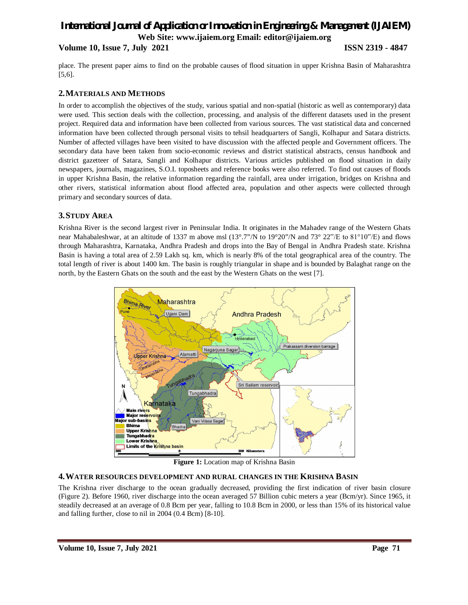**Volume 10, Issue 7, July 2021 ISSN 2319 - 4847**

place. The present paper aims to find on the probable causes of flood situation in upper Krishna Basin of Maharashtra [5,6].

# **2.MATERIALS AND METHODS**

In order to accomplish the objectives of the study, various spatial and non-spatial (historic as well as contemporary) data were used. This section deals with the collection, processing, and analysis of the different datasets used in the present project. Required data and information have been collected from various sources. The vast statistical data and concerned information have been collected through personal visits to tehsil headquarters of Sangli, Kolhapur and Satara districts. Number of affected villages have been visited to have discussion with the affected people and Government officers. The secondary data have been taken from socio-economic reviews and district statistical abstracts, census handbook and district gazetteer of Satara, Sangli and Kolhapur districts. Various articles published on flood situation in daily newspapers, journals, magazines, S.O.I. toposheets and reference books were also referred. To find out causes of floods in upper Krishna Basin, the relative information regarding the rainfall, area under irrigation, bridges on Krishna and other rivers, statistical information about flood affected area, population and other aspects were collected through primary and secondary sources of data.

# **3.STUDY AREA**

Krishna River is the second largest river in Peninsular India. It originates in the Mahadev range of the Western Ghats near Mahabaleshwar, at an altitude of 1337 m above msl (13°.7"/N to 19°20"/N and 73° 22"/E to 81°10"/E) and flows through Maharashtra, Karnataka, Andhra Pradesh and drops into the Bay of Bengal in Andhra Pradesh state. Krishna Basin is having a total area of 2.59 Lakh sq. km, which is nearly 8% of the total geographical area of the country. The total length of river is about 1400 km. The basin is roughly triangular in shape and is bounded by Balaghat range on the north, by the Eastern Ghats on the south and the east by the Western Ghats on the west [7].



**Figure 1:** Location map of Krishna Basin

## **4.WATER RESOURCES DEVELOPMENT AND RURAL CHANGES IN THE KRISHNA BASIN**

The Krishna river discharge to the ocean gradually decreased, providing the first indication of river basin closure (Figure 2). Before 1960, river discharge into the ocean averaged 57 Billion cubic meters a year (Bcm/yr). Since 1965, it steadily decreased at an average of 0.8 Bcm per year, falling to 10.8 Bcm in 2000, or less than 15% of its historical value and falling further, close to nil in 2004 (0.4 Bcm) [8-10].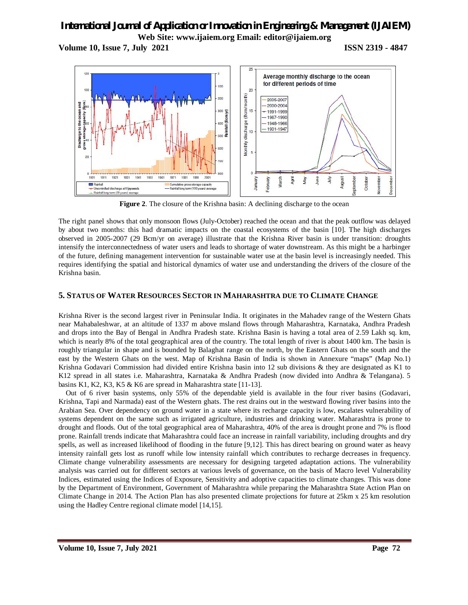**Volume 10, Issue 7, July 2021 ISSN 2319 - 4847**



Figure 2. The closure of the Krishna basin: A declining discharge to the ocean

The right panel shows that only monsoon flows (July-October) reached the ocean and that the peak outflow was delayed by about two months: this had dramatic impacts on the coastal ecosystems of the basin [10]. The high discharges observed in 2005-2007 (29 Bcm/yr on average) illustrate that the Krishna River basin is under transition: droughts intensify the interconnectedness of water users and leads to shortage of water downstream. As this might be a harbinger of the future, defining management intervention for sustainable water use at the basin level is increasingly needed. This requires identifying the spatial and historical dynamics of water use and understanding the drivers of the closure of the Krishna basin.

# **5. STATUS OF WATER RESOURCES SECTOR IN MAHARASHTRA DUE TO CLIMATE CHANGE**

Krishna River is the second largest river in Peninsular India. It originates in the Mahadev range of the Western Ghats near Mahabaleshwar, at an altitude of 1337 m above msland flows through Maharashtra, Karnataka, Andhra Pradesh and drops into the Bay of Bengal in Andhra Pradesh state. Krishna Basin is having a total area of 2.59 Lakh sq. km, which is nearly 8% of the total geographical area of the country. The total length of river is about 1400 km. The basin is roughly triangular in shape and is bounded by Balaghat range on the north, by the Eastern Ghats on the south and the east by the Western Ghats on the west. Map of Krishna Basin of India is shown in Annexure "maps" (Map No.1) Krishna Godavari Commission had divided entire Krishna basin into 12 sub divisions & they are designated as K1 to K12 spread in all states i.e. Maharashtra, Karnataka & Andhra Pradesh (now divided into Andhra & Telangana). 5 basins K1, K2, K3, K5 & K6 are spread in Maharashtra state [11-13].

Out of 6 river basin systems, only 55% of the dependable yield is available in the four river basins (Godavari, Krishna, Tapi and Narmada) east of the Western ghats. The rest drains out in the westward flowing river basins into the Arabian Sea. Over dependency on ground water in a state where its recharge capacity is low, escalates vulnerability of systems dependent on the same such as irrigated agriculture, industries and drinking water. Maharashtra is prone to drought and floods. Out of the total geographical area of Maharashtra, 40% of the area is drought prone and 7% is flood prone. Rainfall trends indicate that Maharashtra could face an increase in rainfall variability, including droughts and dry spells, as well as increased likelihood of flooding in the future [9,12]. This has direct bearing on ground water as heavy intensity rainfall gets lost as runoff while low intensity rainfall which contributes to recharge decreases in frequency. Climate change vulnerability assessments are necessary for designing targeted adaptation actions. The vulnerability analysis was carried out for different sectors at various levels of governance, on the basis of Macro level Vulnerability Indices, estimated using the Indices of Exposure, Sensitivity and adoptive capacities to climate changes. This was done by the Department of Environment, Government of Maharashtra while preparing the Maharashtra State Action Plan on Climate Change in 2014. The Action Plan has also presented climate projections for future at 25km x 25 km resolution using the Hadley Centre regional climate model [14,15].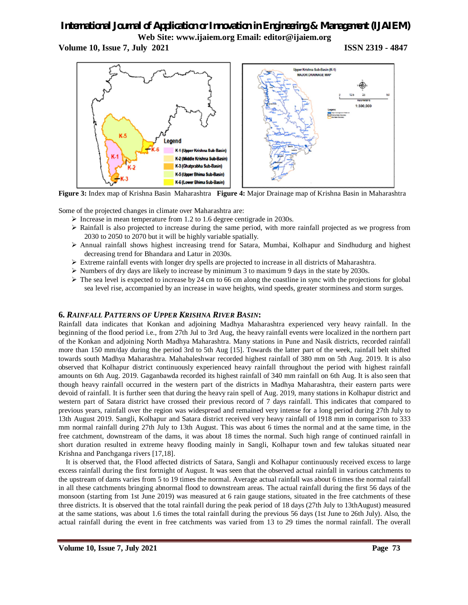**Volume 10, Issue 7, July 2021 ISSN 2319 - 4847**



**Figure 3:** Index map of Krishna Basin Maharashtra **Figure 4:** Major Drainage map of Krishna Basin in Maharashtra

Some of the projected changes in climate over Maharashtra are:

- $\triangleright$  Increase in mean temperature from 1.2 to 1.6 degree centigrade in 2030s.
- $\triangleright$  Rainfall is also projected to increase during the same period, with more rainfall projected as we progress from 2030 to 2050 to 2070 but it will be highly variable spatially.
- Annual rainfall shows highest increasing trend for Satara, Mumbai, Kolhapur and Sindhudurg and highest decreasing trend for Bhandara and Latur in 2030s.
- $\triangleright$  Extreme rainfall events with longer dry spells are projected to increase in all districts of Maharashtra.
- $\triangleright$  Numbers of dry days are likely to increase by minimum 3 to maximum 9 days in the state by 2030s.
- $\triangleright$  The sea level is expected to increase by 24 cm to 66 cm along the coastline in sync with the projections for global sea level rise, accompanied by an increase in wave heights, wind speeds, greater storminess and storm surges.

# **6.** *RAINFALL PATTERNS OF UPPER KRISHNA RIVER BASIN***:**

Rainfall data indicates that Konkan and adjoining Madhya Maharashtra experienced very heavy rainfall. In the beginning of the flood period i.e., from 27th Jul to 3rd Aug, the heavy rainfall events were localized in the northern part of the Konkan and adjoining North Madhya Maharashtra. Many stations in Pune and Nasik districts, recorded rainfall more than 150 mm/day during the period 3rd to 5th Aug [15]. Towards the latter part of the week, rainfall belt shifted towards south Madhya Maharashtra. Mahabaleshwar recorded highest rainfall of 380 mm on 5th Aug. 2019. It is also observed that Kolhapur district continuously experienced heavy rainfall throughout the period with highest rainfall amounts on 6th Aug. 2019. Gaganbawda recorded its highest rainfall of 340 mm rainfall on 6th Aug. It is also seen that though heavy rainfall occurred in the western part of the districts in Madhya Maharashtra, their eastern parts were devoid of rainfall. It is further seen that during the heavy rain spell of Aug. 2019, many stations in Kolhapur district and western part of Satara district have crossed their previous record of 7 days rainfall. This indicates that compared to previous years, rainfall over the region was widespread and remained very intense for a long period during 27th July to 13th August 2019. Sangli, Kolhapur and Satara district received very heavy rainfall of 1918 mm in comparison to 333 mm normal rainfall during 27th July to 13th August. This was about 6 times the normal and at the same time, in the free catchment, downstream of the dams, it was about 18 times the normal. Such high range of continued rainfall in short duration resulted in extreme heavy flooding mainly in Sangli, Kolhapur town and few talukas situated near Krishna and Panchganga rivers [17,18].

It is observed that, the Flood affected districts of Satara, Sangli and Kolhapur continuously received excess to large excess rainfall during the first fortnight of August. It was seen that the observed actual rainfall in various catchments to the upstream of dams varies from 5 to 19 times the normal. Average actual rainfall was about 6 times the normal rainfall in all these catchments bringing abnormal flood to downstream areas. The actual rainfall during the first 56 days of the monsoon (starting from 1st June 2019) was measured at 6 rain gauge stations, situated in the free catchments of these three districts. It is observed that the total rainfall during the peak period of 18 days (27th July to 13thAugust) measured at the same stations, was about 1.6 times the total rainfall during the previous 56 days (1st June to 26th July). Also, the actual rainfall during the event in free catchments was varied from 13 to 29 times the normal rainfall. The overall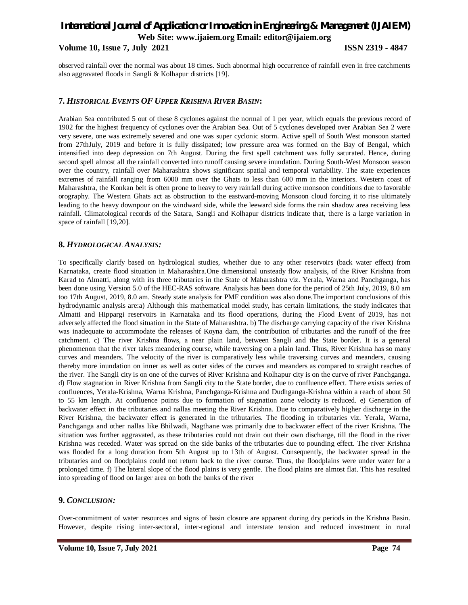# *International Journal of Application or Innovation in Engineering & Management (IJAIEM)* **Web Site: www.ijaiem.org Email: editor@ijaiem.org Volume 10, Issue 7, July 2021 ISSN 2319 - 4847**

observed rainfall over the normal was about 18 times. Such abnormal high occurrence of rainfall even in free catchments also aggravated floods in Sangli & Kolhapur districts [19].

# **7.** *HISTORICAL EVENTS OF UPPER KRISHNA RIVER BASIN***:**

Arabian Sea contributed 5 out of these 8 cyclones against the normal of 1 per year, which equals the previous record of 1902 for the highest frequency of cyclones over the Arabian Sea. Out of 5 cyclones developed over Arabian Sea 2 were very severe, one was extremely severed and one was super cyclonic storm. Active spell of South West monsoon started from 27thJuly, 2019 and before it is fully dissipated; low pressure area was formed on the Bay of Bengal, which intensified into deep depression on 7th August. During the first spell catchment was fully saturated. Hence, during second spell almost all the rainfall converted into runoff causing severe inundation. During South-West Monsoon season over the country, rainfall over Maharashtra shows significant spatial and temporal variability. The state experiences extremes of rainfall ranging from 6000 mm over the Ghats to less than 600 mm in the interiors. Western coast of Maharashtra, the Konkan belt is often prone to heavy to very rainfall during active monsoon conditions due to favorable orography. The Western Ghats act as obstruction to the eastward-moving Monsoon cloud forcing it to rise ultimately leading to the heavy downpour on the windward side, while the leeward side forms the rain shadow area receiving less rainfall. Climatological records of the Satara, Sangli and Kolhapur districts indicate that, there is a large variation in space of rainfall [19,20].

### **8.** *HYDROLOGICAL ANALYSIS:*

To specifically clarify based on hydrological studies, whether due to any other reservoirs (back water effect) from Karnataka, create flood situation in Maharashtra.One dimensional unsteady flow analysis, of the River Krishna from Karad to Almatti, along with its three tributaries in the State of Maharashtra viz. Yerala, Warna and Panchganga, has been done using Version 5.0 of the HEC-RAS software. Analysis has been done for the period of 25th July, 2019, 8.0 am too 17th August, 2019, 8.0 am. Steady state analysis for PMF condition was also done.The important conclusions of this hydrodynamic analysis are:a) Although this mathematical model study, has certain limitations, the study indicates that Almatti and Hippargi reservoirs in Karnataka and its flood operations, during the Flood Event of 2019, has not adversely affected the flood situation in the State of Maharashtra. b) The discharge carrying capacity of the river Krishna was inadequate to accommodate the releases of Koyna dam, the contribution of tributaries and the runoff of the free catchment. c) The river Krishna flows, a near plain land, between Sangli and the State border. It is a general phenomenon that the river takes meandering course, while traversing on a plain land. Thus, River Krishna has so many curves and meanders. The velocity of the river is comparatively less while traversing curves and meanders, causing thereby more inundation on inner as well as outer sides of the curves and meanders as compared to straight reaches of the river. The Sangli city is on one of the curves of River Krishna and Kolhapur city is on the curve of river Panchganga. d) Flow stagnation in River Krishna from Sangli city to the State border, due to confluence effect. There exists series of confluences, Yerala-Krishna, Warna Krishna, Panchganga-Krishna and Dudhganga-Krishna within a reach of about 50 to 55 km length. At confluence points due to formation of stagnation zone velocity is reduced. e) Generation of backwater effect in the tributaries and nallas meeting the River Krishna. Due to comparatively higher discharge in the River Krishna, the backwater effect is generated in the tributaries. The flooding in tributaries viz. Yerala, Warna, Panchganga and other nallas like Bhilwadi, Nagthane was primarily due to backwater effect of the river Krishna. The situation was further aggravated, as these tributaries could not drain out their own discharge, till the flood in the river Krishna was receded. Water was spread on the side banks of the tributaries due to pounding effect. The river Krishna was flooded for a long duration from 5th August up to 13th of August. Consequently, the backwater spread in the tributaries and on floodplains could not return back to the river course. Thus, the floodplains were under water for a prolonged time. f) The lateral slope of the flood plains is very gentle. The flood plains are almost flat. This has resulted into spreading of flood on larger area on both the banks of the river

## **9.** *CONCLUSION:*

Over-commitment of water resources and signs of basin closure are apparent during dry periods in the Krishna Basin. However, despite rising inter-sectoral, inter-regional and interstate tension and reduced investment in rural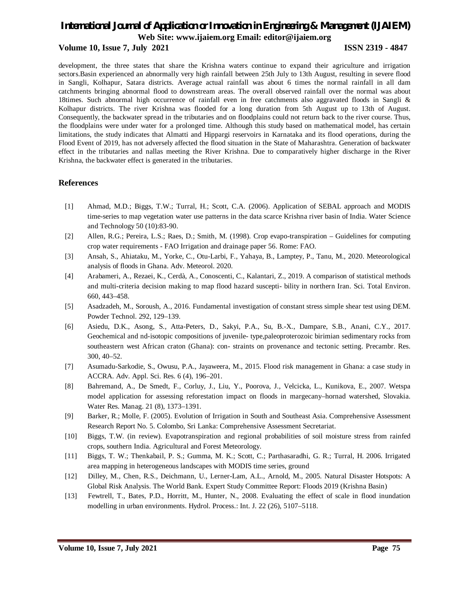#### **Volume 10, Issue 7, July 2021 ISSN 2319 - 4847**

development, the three states that share the Krishna waters continue to expand their agriculture and irrigation sectors.Basin experienced an abnormally very high rainfall between 25th July to 13th August, resulting in severe flood in Sangli, Kolhapur, Satara districts. Average actual rainfall was about 6 times the normal rainfall in all dam catchments bringing abnormal flood to downstream areas. The overall observed rainfall over the normal was about 18times. Such abnormal high occurrence of rainfall even in free catchments also aggravated floods in Sangli & Kolhapur districts. The river Krishna was flooded for a long duration from 5th August up to 13th of August. Consequently, the backwater spread in the tributaries and on floodplains could not return back to the river course. Thus, the floodplains were under water for a prolonged time. Although this study based on mathematical model, has certain limitations, the study indicates that Almatti and Hippargi reservoirs in Karnataka and its flood operations, during the Flood Event of 2019, has not adversely affected the flood situation in the State of Maharashtra. Generation of backwater effect in the tributaries and nallas meeting the River Krishna. Due to comparatively higher discharge in the River Krishna, the backwater effect is generated in the tributaries.

#### **References**

- [1] Ahmad, M.D.; Biggs, T.W.; Turral, H.; Scott, C.A. (2006). Application of SEBAL approach and MODIS time-series to map vegetation water use patterns in the data scarce Krishna river basin of India. Water Science and Technology 50 (10):83-90.
- [2] Allen, R.G.; Pereira, L.S.; Raes, D.; Smith, M. (1998). Crop evapo-transpiration Guidelines for computing crop water requirements - FAO Irrigation and drainage paper 56. Rome: FAO.
- [3] Ansah, S., Ahiataku, M., Yorke, C., Otu-Larbi, F., Yahaya, B., Lamptey, P., Tanu, M., 2020. Meteorological analysis of floods in Ghana. Adv. Meteorol. 2020.
- [4] Arabameri, A., Rezaei, K., Cerdà, A., Conoscenti, C., Kalantari, Z., 2019. A comparison of statistical methods and multi-criteria decision making to map flood hazard suscepti- bility in northern Iran. Sci. Total Environ. 660, 443–458.
- [5] Asadzadeh, M., Soroush, A., 2016. Fundamental investigation of constant stress simple shear test using DEM. Powder Technol. 292, 129–139.
- [6] Asiedu, D.K., Asong, S., Atta-Peters, D., Sakyi, P.A., Su, B.-X., Dampare, S.B., Anani, C.Y., 2017. Geochemical and nd-isotopic compositions of juvenile- type,paleoproterozoic birimian sedimentary rocks from southeastern west African craton (Ghana): con- straints on provenance and tectonic setting. Precambr. Res. 300, 40–52.
- [7] Asumadu-Sarkodie, S., Owusu, P.A., Jayaweera, M., 2015. Flood risk management in Ghana: a case study in ACCRA. Adv. Appl. Sci. Res. 6 (4), 196–201.
- [8] Bahremand, A., De Smedt, F., Corluy, J., Liu, Y., Poorova, J., Velcicka, L., Kunikova, E., 2007. Wetspa model application for assessing reforestation impact on floods in margecany–hornad watershed, Slovakia. Water Res. Manag. 21 (8), 1373–1391.
- [9] Barker, R.; Molle, F. (2005). Evolution of Irrigation in South and Southeast Asia. Comprehensive Assessment Research Report No. 5. Colombo, Sri Lanka: Comprehensive Assessment Secretariat.
- [10] Biggs, T.W. (in review). Evapotranspiration and regional probabilities of soil moisture stress from rainfed crops, southern India. Agricultural and Forest Meteorology.
- [11] Biggs, T. W.; Thenkabail, P. S.; Gumma, M. K.; Scott, C.; Parthasaradhi, G. R.; Turral, H. 2006. Irrigated area mapping in heterogeneous landscapes with MODIS time series, ground
- [12] Dilley, M., Chen, R.S., Deichmann, U., Lerner-Lam, A.L., Arnold, M., 2005. Natural Disaster Hotspots: A Global Risk Analysis. The World Bank. Expert Study Committee Report: Floods 2019 (Krishna Basin)
- [13] Fewtrell, T., Bates, P.D., Horritt, M., Hunter, N., 2008. Evaluating the effect of scale in flood inundation modelling in urban environments. Hydrol. Process.: Int. J. 22 (26), 5107–5118.